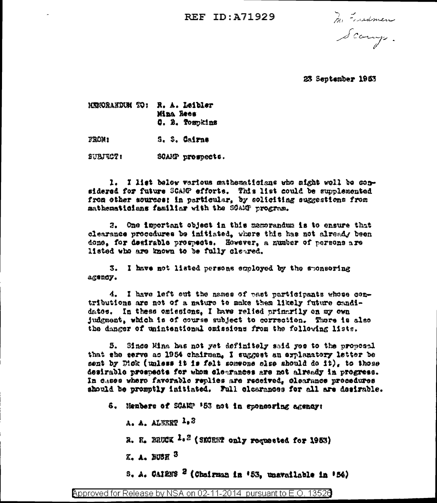REF TD: 471929

Mi Essedman

23 September 1953

HUMORANDUM TO: R. A. Leibler **Mina Rees** C. B. Tospkins FROM: S. S. Cairna

SUBJECT: SOAMP prospects.

1. I list below vertous mathematicians who might well be considered for future SCAMP efforts. This list could be supplemented from other sources: in particular, by soliciting suggestions from mathematicians familiar with the SOAMP program.

2. One important object in this memorandum is to ensure that clearance procedures be initiated, where this has not already been done, for desirable progrects. However, a number of persons are listed who are known to be fully cleared.

3. I have not listed persons employed by the sponsoring agency.

4. I have left out the names of past participants whose contributions are not of a nature to make them likely future candidatos. In these caissions. I have relied primarily on my own judgment, which is of course subject to correction. There is also the danger of unintentional omissions from the following lists.

5. Since Mina has not yet definitely said yes to the proposal that she serve as 1954 chairman. I suggest an explanatory letter be sent by Dick (unless it is felt someone slae should do it), to those desirable prespects for whom clearances are not already in progress. In cases where faverable replies are received, clearance procedures should be promptly initiated. Full clearances for all are desirable.

6. Henbers of SCARP '53 not in sponsoring agency:

 $A. A.$  ALBERT  $1.3$ 

R. R. BRUCK 1.2 (SMORET only requested for 1953)

K. A. HUSH<sup>3</sup>

S. A. CAIREE <sup>2</sup> (Chairman in '53, unavailable in '54)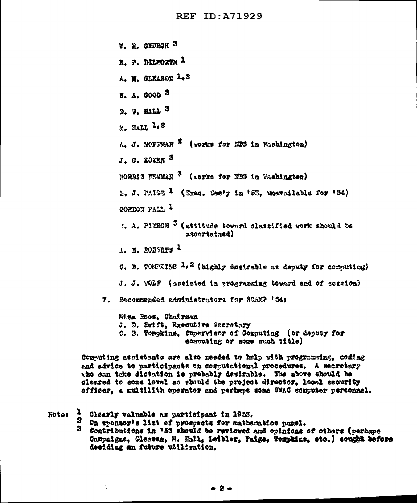REF ID: A71929

**Y. R. OHURGH<sup>3</sup>** R. P. DILWORTH 1 A. M. GLEASON 1.3 2. д. доов 3 D. W. HALL 3 M. HALL 1.3 A. J. HOFFMAN  $^3$  (works for EBS in Washington)  $J.$   $Q.$  KONER  $3$ MORRIS MEWHAN <sup>3</sup> (vorks for HBS in Wachington) L. J. PAIGE  $\frac{1}{2}$  (Exec. Sec'y in '53, unavailable for '54) GORDON PALL 1 1. A. PIERCE <sup>3</sup> (attitude toward classified work should be ascertained) A. E. ROBARTS 1 C. B. TOMPKING  $\lambda_0$ <sup>2</sup> (highly desirable as deputy for computing) J. J. WOLF (assisted in programming toward end of session) 7. Recommended administrators for SCAMP '54: Hina Boot, Chairman J. D. Swift, Executive Secretary C. B. Tompkins, Supervicer of Computing (or deputy for computing or some much title)

Computing acsistants are also needed to help with programming, coding and advice to participants on commutational procedures. A secretery who can take dictation is probably desirable. The above should be cleared to some level as should the project director. lecal security officer, a multilith operator and perhaps some SWAC conguter personnel.

1 Clearly valuable as participant in 1953. Neter

 $\chi$ 

- 3. On sponsor's list of prospects for mathematics panel.
- 8. Contributions in '53 should be reviewed and opinions of others (perhaps Campaigne, Gleasen, N. Hall, Leibler, Paige, Tompkins, etc.) sought before deciding an future utilization.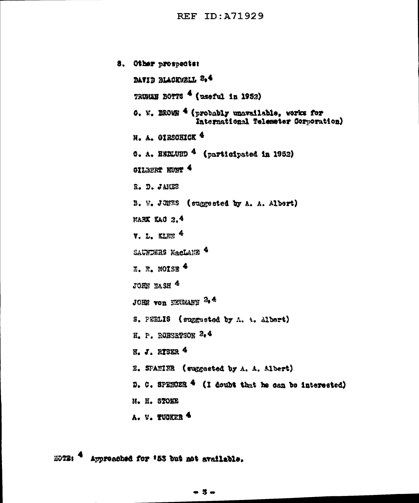8. Other prospects: BAVID BLACKWRLL 8.4 TRUMAN BOTTS <sup>4</sup> (useful in 1952) 0. W. BEOMN 4 (probably unavailable, vorks for International Telemeter Corporation) H. A. OTRSOHICK<sup>4</sup> G. A. ESELUND<sup>4</sup> (participated in 1952) ollager wine 4 R. D. JAKES B. W. JOHNS (suggested by A. A. Albert) **MARK KAO 2.4**  $v_{\rm L}$  L. KLEE  $4$ SAUNDERS NacLANE 4  $\overline{x}$ .  $\overline{x}$ . MOTSE 4 JOHN NASH<sup>4</sup>  $JOEE$  von NEUMARY  $2.4$ S. PEELIS (suggested by A. A. Albert) H. P. ROBERPSON 2.4 **H. J. RYSER 4** E. SPANINE (suggested by A. A. Albert) D. C. SPENDER  $4$  (I doubt that he can be interested) **M. H. STOKE** A. W. TUGKER 4

Approached for '53 but not available. 医心型监督